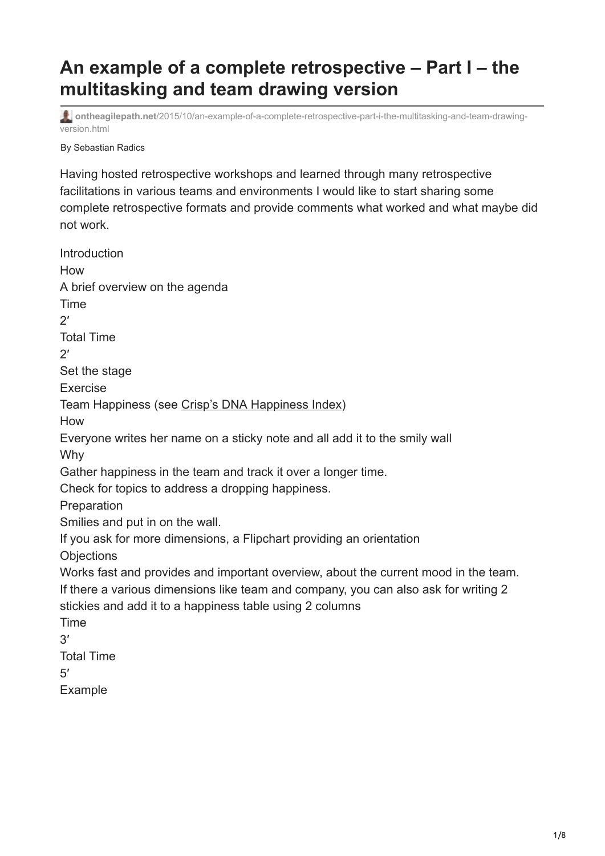## **An example of a complete retrospective – Part I – the multitasking and team drawing version**

**ontheagilepath.net**[/2015/10/an-example-of-a-complete-retrospective-part-i-the-multitasking-and-team-drawing](https://www.ontheagilepath.net/2015/10/an-example-of-a-complete-retrospective-part-i-the-multitasking-and-team-drawing-version.html)version.html

By Sebastian Radics

Having hosted retrospective workshops and learned through many retrospective facilitations in various teams and environments I would like to start sharing some complete retrospective formats and provide comments what worked and what maybe did not work.

Introduction How A brief overview on the agenda Time  $2'$ Total Time  $2'$ Set the stage Exercise Team Happiness (see [Crisp's DNA Happiness Index\)](http://dna.crisp.se/docs/happiness-index.html) How Everyone writes her name on a sticky note and all add it to the smily wall Why Gather happiness in the team and track it over a longer time. Check for topics to address a dropping happiness. **Preparation** Smilies and put in on the wall. If you ask for more dimensions, a Flipchart providing an orientation **Objections** Works fast and provides and important overview, about the current mood in the team. If there a various dimensions like team and company, you can also ask for writing 2 stickies and add it to a happiness table using 2 columns Time  $3'$ Total Time 5′ Example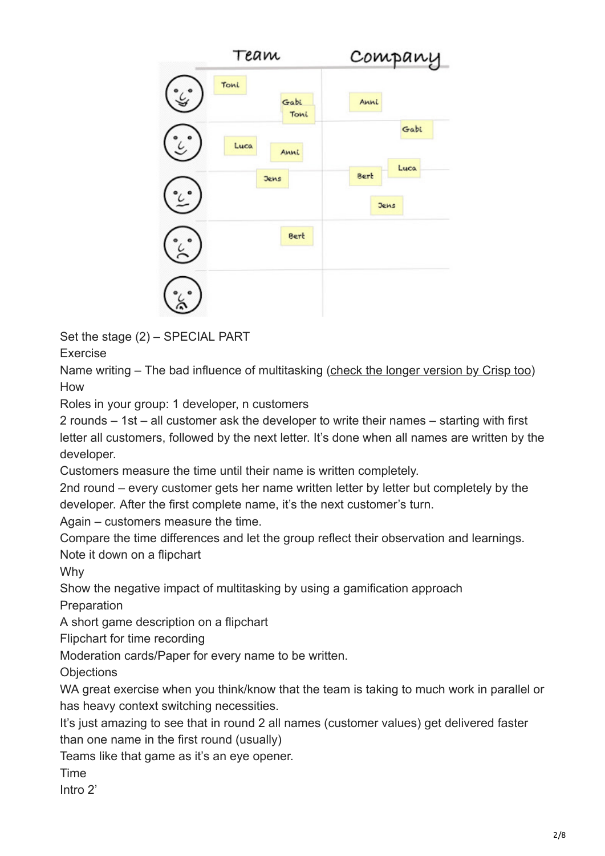

Set the stage (2) – SPECIAL PART

Exercise

Name writing – The bad influence of multitasking [\(check the longer version by Crisp too\)](https://www.crisp.se/gratis-material-och-guider/multitasking-name-game) How

Roles in your group: 1 developer, n customers

2 rounds – 1st – all customer ask the developer to write their names – starting with first letter all customers, followed by the next letter. It's done when all names are written by the developer.

Customers measure the time until their name is written completely.

2nd round – every customer gets her name written letter by letter but completely by the developer. After the first complete name, it's the next customer's turn.

Again – customers measure the time.

Compare the time differences and let the group reflect their observation and learnings. Note it down on a flipchart

Why

Show the negative impact of multitasking by using a gamification approach

Preparation

A short game description on a flipchart

Flipchart for time recording

Moderation cards/Paper for every name to be written.

**Objections** 

WA great exercise when you think/know that the team is taking to much work in parallel or has heavy context switching necessities.

It's just amazing to see that in round 2 all names (customer values) get delivered faster than one name in the first round (usually)

Teams like that game as it's an eye opener.

**Time** 

Intro 2'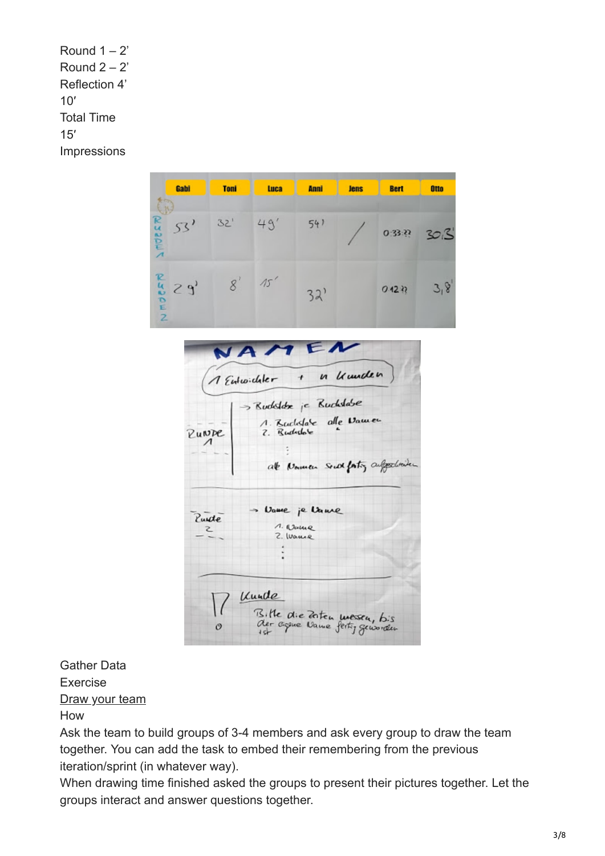Round  $1 - 2$ ' Round  $2 - 2'$ Reflection 4' 10′ Total Time 15′ **Impressions** 

| Gabl                                     | <b>Toni</b> | Luca | <b>Anni</b> | <b>Jens</b> | <b>Bert</b> | Otto         |
|------------------------------------------|-------------|------|-------------|-------------|-------------|--------------|
| $\geq$ Moss $\geq$<br>53'                | 32'         | 49'  | 54)         |             |             | 0:33:22 3013 |
| $\sum_{k=0}^{n} S_{k}$<br>$\overline{z}$ |             | 15'  | 32'         |             | 0.12.32     | 3,8          |

NAMEN in Umden 1 Entwickler  $\overline{t}$ > Rudoldx je Rudolabe 1. Ruchslate alle Vamen 7. Budidole Punne at Namen South faity suffered with > Vame je Vame Punde<sup></sup> 1. Name  $\mathbf{z}$ 2. Waune Unide Bille die Zeiten wessen, bis<br>der agene Vame fertig geworden  $\mathcal{O}$ 

## Gather Data

Exercise

[Draw your team](http://www.ontheagilepath.net/2015/10/let-team-draw-it-and-open-new.html)

How

Ask the team to build groups of 3-4 members and ask every group to draw the team together. You can add the task to embed their remembering from the previous iteration/sprint (in whatever way).

When drawing time finished asked the groups to present their pictures together. Let the groups interact and answer questions together.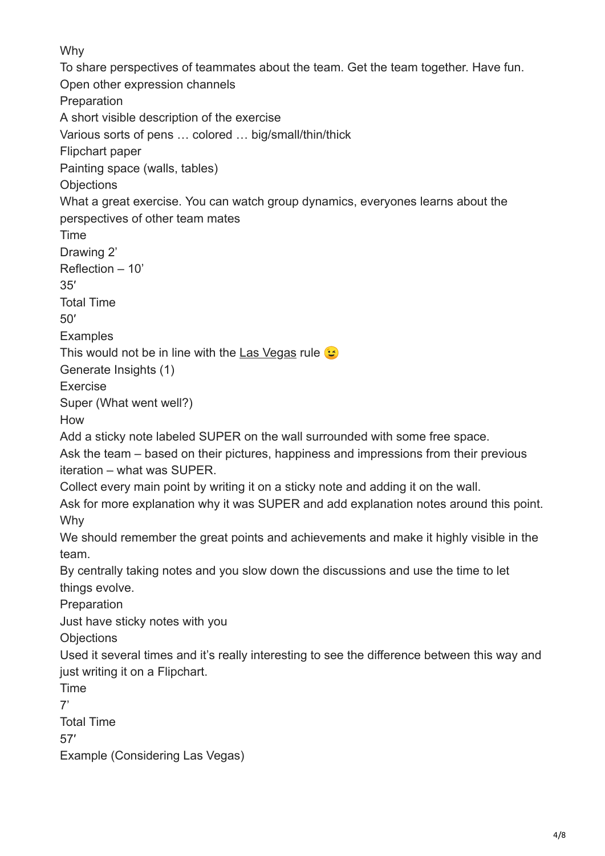Why

To share perspectives of teammates about the team. Get the team together. Have fun. Open other expression channels Preparation A short visible description of the exercise Various sorts of pens … colored … big/small/thin/thick Flipchart paper Painting space (walls, tables) **Objections** What a great exercise. You can watch group dynamics, everyones learns about the perspectives of other team mates Time Drawing 2' Reflection – 10' 35′ Total Time 50′ **Examples** This would not be in line with the [Las Vegas](http://www.urbandictionary.com/define.php?term=what+happens+in+Vegas+stays+in+Vegas) rule  $\odot$ Generate Insights (1) Exercise Super (What went well?) How Add a sticky note labeled SUPER on the wall surrounded with some free space. Ask the team – based on their pictures, happiness and impressions from their previous iteration – what was SUPER. Collect every main point by writing it on a sticky note and adding it on the wall. Ask for more explanation why it was SUPER and add explanation notes around this point. Why We should remember the great points and achievements and make it highly visible in the team. By centrally taking notes and you slow down the discussions and use the time to let things evolve. Preparation Just have sticky notes with you **Objections** Used it several times and it's really interesting to see the difference between this way and just writing it on a Flipchart. Time 7' Total Time 57′ Example (Considering Las Vegas)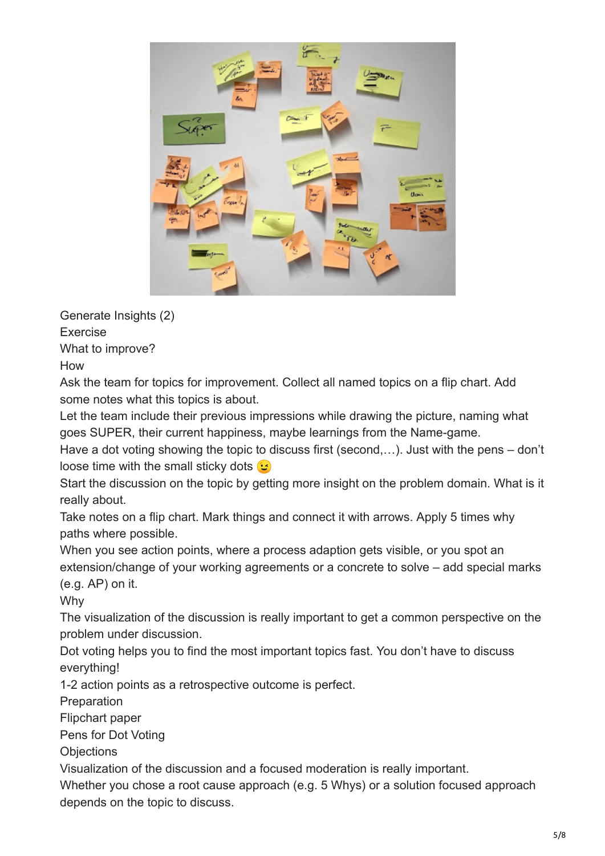

Generate Insights (2)

Exercise

What to improve?

How

Ask the team for topics for improvement. Collect all named topics on a flip chart. Add some notes what this topics is about.

Let the team include their previous impressions while drawing the picture, naming what goes SUPER, their current happiness, maybe learnings from the Name-game.

Have a dot voting showing the topic to discuss first (second,…). Just with the pens – don't loose time with the small sticky dots  $\mathbf{G}$ 

Start the discussion on the topic by getting more insight on the problem domain. What is it really about.

Take notes on a flip chart. Mark things and connect it with arrows. Apply 5 times why paths where possible.

When you see action points, where a process adaption gets visible, or you spot an extension/change of your working agreements or a concrete to solve – add special marks (e.g. AP) on it.

Why

The visualization of the discussion is really important to get a common perspective on the problem under discussion.

Dot voting helps you to find the most important topics fast. You don't have to discuss everything!

1-2 action points as a retrospective outcome is perfect.

**Preparation** 

Flipchart paper

Pens for Dot Voting

**Objections** 

Visualization of the discussion and a focused moderation is really important.

Whether you chose a root cause approach (e.g. 5 Whys) or a solution focused approach depends on the topic to discuss.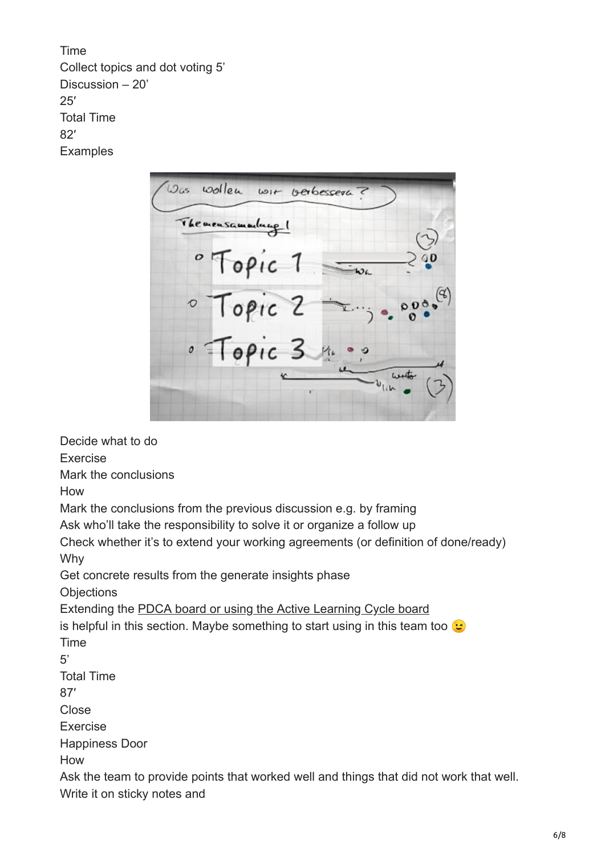Time Collect topics and dot voting 5' Discussion – 20' 25′ Total Time 82′ **Examples** 

wollen  $\omega_{gs}$ wit verbessere The mensamentury ! · Topic 1<br>· Topic 2 Topic 3

Decide what to do

Exercise

Mark the conclusions

How

Mark the conclusions from the previous discussion e.g. by framing

Ask who'll take the responsibility to solve it or organize a follow up

Check whether it's to extend your working agreements (or definition of done/ready) Why

Get concrete results from the generate insights phase

**Objections** 

Extending the [PDCA board or using the Active Learning Cycle board](http://www.ontheagilepath.net/2015/08/what-about-your-retrospective-action.html)

is helpful in this section. Maybe something to start using in this team too  $\bullet$ Time

5'

Total Time

87′

Close

Exercise

Happiness Door

How

Ask the team to provide points that worked well and things that did not work that well. Write it on sticky notes and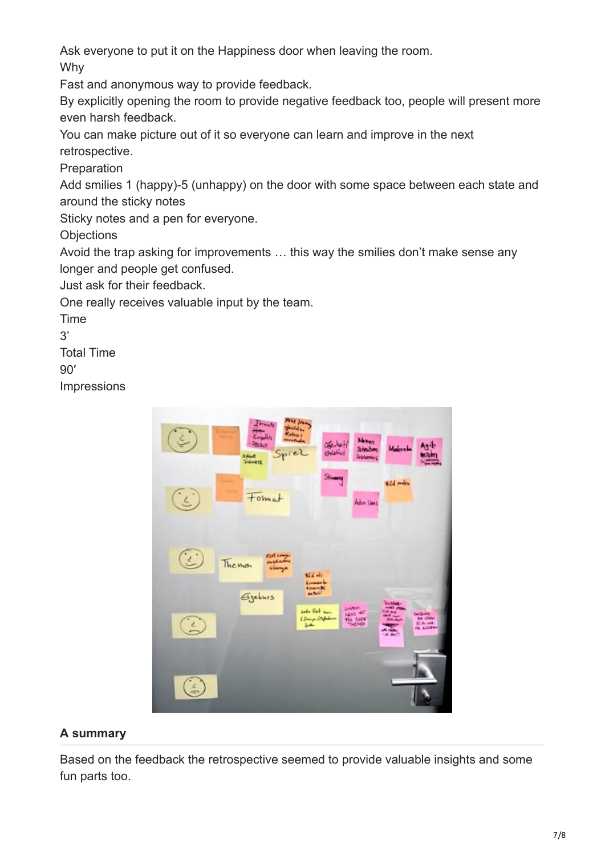Ask everyone to put it on the Happiness door when leaving the room.

Why

Fast and anonymous way to provide feedback.

By explicitly opening the room to provide negative feedback too, people will present more even harsh feedback.

You can make picture out of it so everyone can learn and improve in the next retrospective.

Preparation

Add smilies 1 (happy)-5 (unhappy) on the door with some space between each state and around the sticky notes

Sticky notes and a pen for everyone.

**Objections** 

Avoid the trap asking for improvements … this way the smilies don't make sense any longer and people get confused.

Just ask for their feedback.

One really receives valuable input by the team.

Time

 $3'$ 

Total Time

 $90'$ 

**Impressions** 



## **A summary**

Based on the feedback the retrospective seemed to provide valuable insights and some fun parts too.